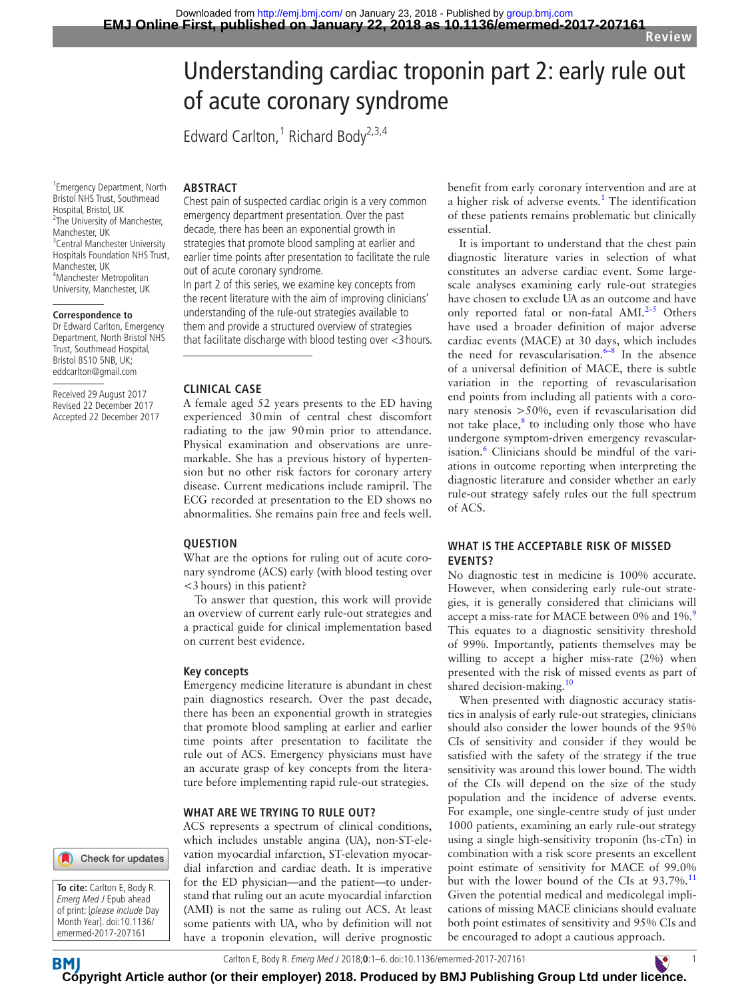# Understanding cardiac troponin part 2: early rule out of acute coronary syndrome

Edward Carlton,<sup>1</sup> Richard Body<sup>2,3,4</sup>

1 Emergency Department, North Bristol NHS Trust, Southmead Hospital, Bristol, UK <sup>2</sup>The University of Manchester, Manchester, UK <sup>3</sup> Central Manchester University Hospitals Foundation NHS Trust, Manchester, UK 4 Manchester Metropolitan University, Manchester, UK

#### **Correspondence to**

Dr Edward Carlton, Emergency Department, North Bristol NHS Trust, Southmead Hospital, Bristol BS10 5NB, UK; eddcarlton@gmail.com

Received 29 August 2017 Revised 22 December 2017 Accepted 22 December 2017 Chest pain of suspected cardiac origin is a very common emergency department presentation. Over the past decade, there has been an exponential growth in strategies that promote blood sampling at earlier and earlier time points after presentation to facilitate the rule out of acute coronary syndrome.

In part 2 of this series, we examine key concepts from the recent literature with the aim of improving clinicians' understanding of the rule-out strategies available to them and provide a structured overview of strategies that facilitate discharge with blood testing over <3 hours.

#### **Clinical case**

**ARSTRACT** 

A female aged 52 years presents to the ED having experienced 30min of central chest discomfort radiating to the jaw 90min prior to attendance. Physical examination and observations are unremarkable. She has a previous history of hypertension but no other risk factors for coronary artery disease. Current medications include ramipril. The ECG recorded at presentation to the ED shows no abnormalities. She remains pain free and feels well.

# **Question**

What are the options for ruling out of acute coronary syndrome (ACS) early (with blood testing over <3hours) in this patient?

To answer that question, this work will provide an overview of current early rule-out strategies and a practical guide for clinical implementation based on current best evidence.

#### **Key concepts**

Emergency medicine literature is abundant in chest pain diagnostics research. Over the past decade, there has been an exponential growth in strategies that promote blood sampling at earlier and earlier time points after presentation to facilitate the rule out of ACS. Emergency physicians must have an accurate grasp of key concepts from the literature before implementing rapid rule-out strategies.

#### **What are we trying to rule out?**

ACS represents a spectrum of clinical conditions, which includes unstable angina (UA), non-ST-elevation myocardial infarction, ST-elevation myocardial infarction and cardiac death. It is imperative for the ED physician—and the patient—to understand that ruling out an acute myocardial infarction (AMI) is not the same as ruling out ACS. At least some patients with UA, who by definition will not have a troponin elevation, will derive prognostic

benefit from early coronary intervention and are at a higher risk of adverse events.<sup>[1](#page-4-0)</sup> The identification of these patients remains problematic but clinically essential.

It is important to understand that the chest pain diagnostic literature varies in selection of what constitutes an adverse cardiac event. Some largescale analyses examining early rule-out strategies have chosen to exclude UA as an outcome and have only reported fatal or non-fatal  $AMI.<sup>2-5</sup>$  Others have used a broader definition of major adverse cardiac events (MACE) at 30 days, which includes the need for revascularisation. $6-8$  In the absence of a universal definition of MACE, there is subtle variation in the reporting of revascularisation end points from including all patients with a coronary stenosis >50%, even if revascularisation did not take place, $8$  to including only those who have undergone symptom-driven emergency revascular-isation.<sup>[6](#page-4-2)</sup> Clinicians should be mindful of the variations in outcome reporting when interpreting the diagnostic literature and consider whether an early rule-out strategy safely rules out the full spectrum of ACS.

# **WHAT IS THE ACCEPTABLE RISK OF MISSED events?**

No diagnostic test in medicine is 100% accurate. However, when considering early rule-out strategies, it is generally considered that clinicians will accept a miss-rate for MACE between 0% and 1%.<sup>[9](#page-4-4)</sup> This equates to a diagnostic sensitivity threshold of 99%. Importantly, patients themselves may be willing to accept a higher miss-rate (2%) when presented with the risk of missed events as part of shared decision-making.[10](#page-4-5)

When presented with diagnostic accuracy statistics in analysis of early rule-out strategies, clinicians should also consider the lower bounds of the 95% CIs of sensitivity and consider if they would be satisfied with the safety of the strategy if the true sensitivity was around this lower bound. The width of the CIs will depend on the size of the study population and the incidence of adverse events. For example, one single-centre study of just under 1000 patients, examining an early rule-out strategy using a single high-sensitivity troponin (hs-cTn) in combination with a risk score presents an excellent point estimate of sensitivity for MACE of 99.0% but with the lower bound of the CIs at  $93.7\%$ .<sup>[11](#page-4-6)</sup> Given the potential medical and medicolegal implications of missing MACE clinicians should evaluate both point estimates of sensitivity and 95% CIs and be encouraged to adopt a cautious approach.





**BM** 

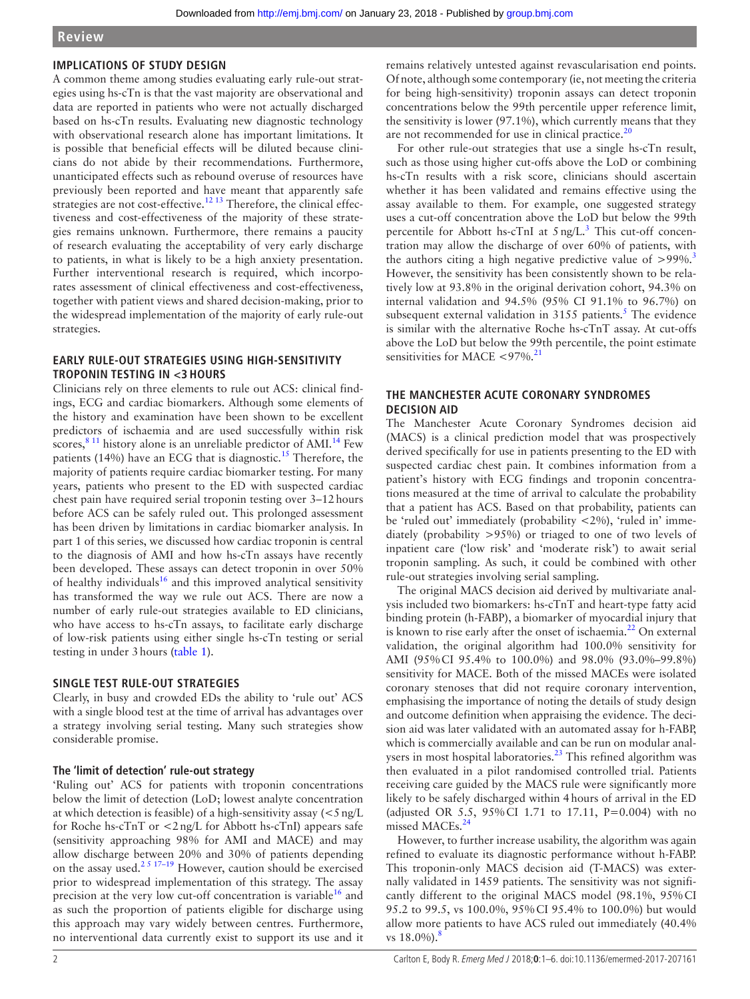# **Implications of study design**

A common theme among studies evaluating early rule-out strategies using hs-cTn is that the vast majority are observational and data are reported in patients who were not actually discharged based on hs-cTn results. Evaluating new diagnostic technology with observational research alone has important limitations. It is possible that beneficial effects will be diluted because clinicians do not abide by their recommendations. Furthermore, unanticipated effects such as rebound overuse of resources have previously been reported and have meant that apparently safe strategies are not cost-effective.<sup>[12 13](#page-4-7)</sup> Therefore, the clinical effectiveness and cost-effectiveness of the majority of these strategies remains unknown. Furthermore, there remains a paucity of research evaluating the acceptability of very early discharge to patients, in what is likely to be a high anxiety presentation. Further interventional research is required, which incorporates assessment of clinical effectiveness and cost-effectiveness, together with patient views and shared decision-making, prior to the widespread implementation of the majority of early rule-out strategies.

# **EARLY RULE-OUT STRATEGIES USING HIGH-SENSITIVITY troponin testing in <3 hours**

Clinicians rely on three elements to rule out ACS: clinical findings, ECG and cardiac biomarkers. Although some elements of the history and examination have been shown to be excellent predictors of ischaemia and are used successfully within risk scores, $811$  history alone is an unreliable predictor of AMI.<sup>[14](#page-4-8)</sup> Few patients (14%) have an ECG that is diagnostic.<sup>15</sup> Therefore, the majority of patients require cardiac biomarker testing. For many years, patients who present to the ED with suspected cardiac chest pain have required serial troponin testing over 3–12hours before ACS can be safely ruled out. This prolonged assessment has been driven by limitations in cardiac biomarker analysis. In part 1 of this series, we discussed how cardiac troponin is central to the diagnosis of AMI and how hs-cTn assays have recently been developed. These assays can detect troponin in over 50% of healthy individuals<sup>16</sup> and this improved analytical sensitivity has transformed the way we rule out ACS. There are now a number of early rule-out strategies available to ED clinicians, who have access to hs-cTn assays, to facilitate early discharge of low-risk patients using either single hs-cTn testing or serial testing in under 3hours [\(table](#page-2-0) 1).

# **SINGLE TEST RULE-OUT STRATEGIES**

Clearly, in busy and crowded EDs the ability to 'rule out' ACS with a single blood test at the time of arrival has advantages over a strategy involving serial testing. Many such strategies show considerable promise.

# **The 'limit of detection' rule-out strategy**

'Ruling out' ACS for patients with troponin concentrations below the limit of detection (LoD; lowest analyte concentration at which detection is feasible) of a high-sensitivity assay  $\langle$  <5 ng/L for Roche hs-cTnT or <2ng/L for Abbott hs-cTnI) appears safe (sensitivity approaching 98% for AMI and MACE) and may allow discharge between 20% and 30% of patients depending on the assay used.[2 5 17–19](#page-4-1) However, caution should be exercised prior to widespread implementation of this strategy. The assay precision at the very low cut-off concentration is variable<sup>16</sup> and as such the proportion of patients eligible for discharge using this approach may vary widely between centres. Furthermore, no interventional data currently exist to support its use and it

remains relatively untested against revascularisation end points. Of note, although some contemporary (ie, not meeting the criteria for being high-sensitivity) troponin assays can detect troponin concentrations below the 99th percentile upper reference limit, the sensitivity is lower (97.1%), which currently means that they are not recommended for use in clinical practice. $20$ 

For other rule-out strategies that use a single hs-cTn result, such as those using higher cut-offs above the LoD or combining hs-cTn results with a risk score, clinicians should ascertain whether it has been validated and remains effective using the assay available to them. For example, one suggested strategy uses a cut-off concentration above the LoD but below the 99th percentile for Abbott hs-cTnI at  $5 \text{ ng/L}$ .<sup>3</sup> This cut-off concentration may allow the discharge of over 60% of patients, with the authors citing a high negative predictive value of  $>99\%$ .<sup>[3](#page-4-12)</sup> However, the sensitivity has been consistently shown to be relatively low at 93.8% in the original derivation cohort, 94.3% on internal validation and 94.5% (95% CI 91.1% to 96.7%) on subsequent external validation in  $3155$  $3155$  $3155$  patients.<sup>5</sup> The evidence is similar with the alternative Roche hs-cTnT assay. At cut-offs above the LoD but below the 99th percentile, the point estimate sensitivities for MACE  $\langle 97\% \cdot$ <sup>[21](#page-4-14)</sup>

# **The Manchester Acute Coronary Syndromes decision aid**

The Manchester Acute Coronary Syndromes decision aid (MACS) is a clinical prediction model that was prospectively derived specifically for use in patients presenting to the ED with suspected cardiac chest pain. It combines information from a patient's history with ECG findings and troponin concentrations measured at the time of arrival to calculate the probability that a patient has ACS. Based on that probability, patients can be 'ruled out' immediately (probability <2%), 'ruled in' immediately (probability >95%) or triaged to one of two levels of inpatient care ('low risk' and 'moderate risk') to await serial troponin sampling. As such, it could be combined with other rule-out strategies involving serial sampling.

The original MACS decision aid derived by multivariate analysis included two biomarkers: hs-cTnT and heart-type fatty acid binding protein (h-FABP), a biomarker of myocardial injury that is known to rise early after the onset of ischaemia.<sup>22</sup> On external validation, the original algorithm had 100.0% sensitivity for AMI (95%CI 95.4% to 100.0%) and 98.0% (93.0%–99.8%) sensitivity for MACE. Both of the missed MACEs were isolated coronary stenoses that did not require coronary intervention, emphasising the importance of noting the details of study design and outcome definition when appraising the evidence. The decision aid was later validated with an automated assay for h-FABP, which is commercially available and can be run on modular analysers in most hospital laboratories. $^{23}$  This refined algorithm was then evaluated in a pilot randomised controlled trial. Patients receiving care guided by the MACS rule were significantly more likely to be safely discharged within 4hours of arrival in the ED (adjusted OR 5.5, 95%CI 1.71 to 17.11, P=0.004) with no missed MACEs.<sup>[24](#page-5-0)</sup>

However, to further increase usability, the algorithm was again refined to evaluate its diagnostic performance without h-FABP. This troponin-only MACS decision aid (T-MACS) was externally validated in 1459 patients. The sensitivity was not significantly different to the original MACS model (98.1%, 95%CI 95.2 to 99.5, vs 100.0%, 95%CI 95.4% to 100.0%) but would allow more patients to have ACS ruled out immediately (40.4% vs 1[8](#page-4-3).0%).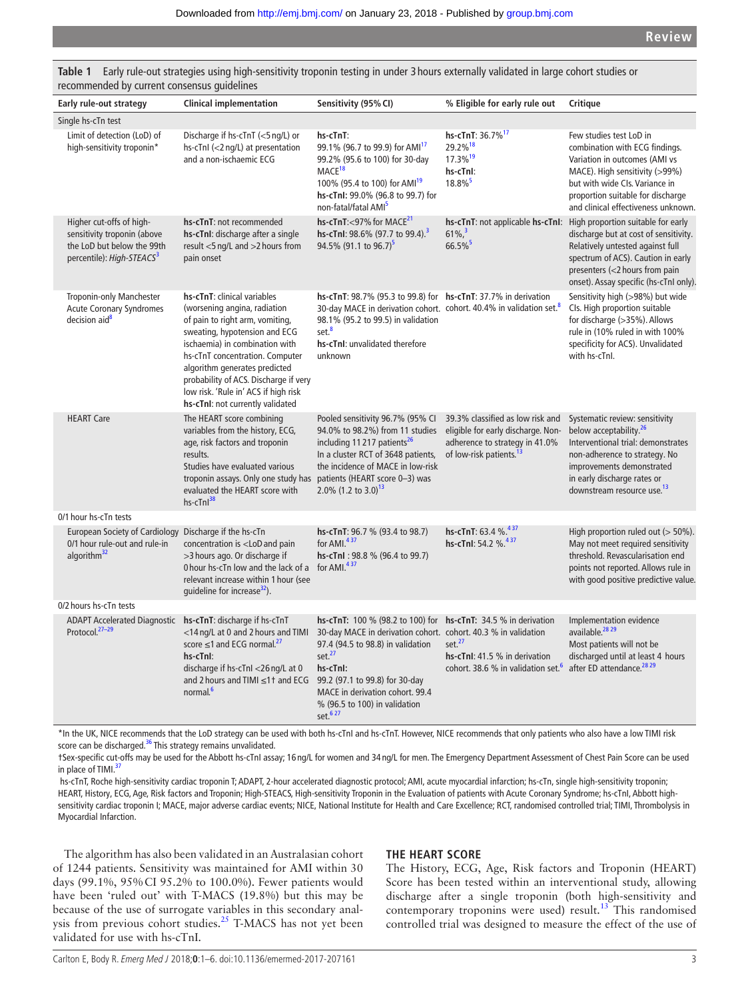| Early rule-out strategy                                                                                                        | Clinical implementation                                                                                                                                                                                                                                                                                                                                    | Sensitivity (95% CI)                                                                                                                                                                                                                                                                                                                 | % Eligible for early rule out                                                                                                                   | Critique                                                                                                                                                                                                                                          |
|--------------------------------------------------------------------------------------------------------------------------------|------------------------------------------------------------------------------------------------------------------------------------------------------------------------------------------------------------------------------------------------------------------------------------------------------------------------------------------------------------|--------------------------------------------------------------------------------------------------------------------------------------------------------------------------------------------------------------------------------------------------------------------------------------------------------------------------------------|-------------------------------------------------------------------------------------------------------------------------------------------------|---------------------------------------------------------------------------------------------------------------------------------------------------------------------------------------------------------------------------------------------------|
| Single hs-cTn test                                                                                                             |                                                                                                                                                                                                                                                                                                                                                            |                                                                                                                                                                                                                                                                                                                                      |                                                                                                                                                 |                                                                                                                                                                                                                                                   |
| Limit of detection (LoD) of<br>high-sensitivity troponin*                                                                      | Discharge if hs-cTnT (<5 ng/L) or<br>hs-cTnl (<2 ng/L) at presentation<br>and a non-ischaemic ECG                                                                                                                                                                                                                                                          | hs-cTnT:<br>99.1% (96.7 to 99.9) for AMI <sup>17</sup><br>99.2% (95.6 to 100) for 30-day<br>MACE <sup>18</sup><br>100% (95.4 to 100) for AMI <sup>19</sup><br>hs-cTnl: 99.0% (96.8 to 99.7) for<br>non-fatal/fatal AMI <sup>5</sup>                                                                                                  | hs-cTnT: 36.7% <sup>17</sup><br>29.2%18<br>17.3% <sup>19</sup><br>hs-cTnl:<br>18.8% <sup>5</sup>                                                | Few studies test LoD in<br>combination with ECG findings.<br>Variation in outcomes (AMI vs<br>MACE). High sensitivity (>99%)<br>but with wide CIs. Variance in<br>proportion suitable for discharge<br>and clinical effectiveness unknown.        |
| Higher cut-offs of high-<br>sensitivity troponin (above<br>the LoD but below the 99th<br>percentile): High-STEACS <sup>3</sup> | hs-cTnT: not recommended<br>hs-cTnI: discharge after a single<br>result <5 ng/L and >2 hours from<br>pain onset                                                                                                                                                                                                                                            | hs-cTnT:<97% for MACE <sup>21</sup><br>hs-cTnl: 98.6% (97.7 to 99.4). <sup>3</sup><br>94.5% (91.1 to 96.7) <sup>5</sup>                                                                                                                                                                                                              | hs-cTnT: not applicable hs-cTnI:<br>$61\%$ , $3$<br>66.5%                                                                                       | High proportion suitable for early<br>discharge but at cost of sensitivity.<br>Relatively untested against full<br>spectrum of ACS). Caution in early<br>presenters (<2 hours from pain<br>onset). Assay specific (hs-cTnI only).                 |
| <b>Troponin-only Manchester</b><br><b>Acute Coronary Syndromes</b><br>decision aid <sup>8</sup>                                | hs-cTnT: clinical variables<br>(worsening angina, radiation<br>of pain to right arm, vomiting,<br>sweating, hypotension and ECG<br>ischaemia) in combination with<br>hs-cTnT concentration. Computer<br>algorithm generates predicted<br>probability of ACS. Discharge if very<br>low risk. 'Rule in' ACS if high risk<br>hs-cTnI: not currently validated | <b>hs-cTnT:</b> 98.7% (95.3 to 99.8) for <b>hs-cTnT:</b> 37.7% in derivation<br>30-day MACE in derivation cohort. cohort. 40.4% in validation set. <sup>8</sup><br>98.1% (95.2 to 99.5) in validation<br>set. <sup>8</sup><br>hs-cTnI: unvalidated therefore<br>unknown                                                              |                                                                                                                                                 | Sensitivity high (>98%) but wide<br>Cls. High proportion suitable<br>for discharge (>35%). Allows<br>rule in (10% ruled in with 100%<br>specificity for ACS). Unvalidated<br>with hs-cTnl.                                                        |
| <b>HEART Care</b>                                                                                                              | The HEART score combining<br>variables from the history, ECG,<br>age, risk factors and troponin<br>results.<br>Studies have evaluated various<br>troponin assays. Only one study has<br>evaluated the HEART score with<br>hs-cTnl <sup>38</sup>                                                                                                            | Pooled sensitivity 96.7% (95% CI<br>94.0% to 98.2%) from 11 studies<br>including 11217 patients <sup>26</sup><br>In a cluster RCT of 3648 patients,<br>the incidence of MACE in low-risk<br>patients (HEART score 0-3) was<br>2.0% (1.2 to 3.0) <sup>13</sup>                                                                        | 39.3% classified as low risk and<br>eligible for early discharge. Non-<br>adherence to strategy in 41.0%<br>of low-risk patients. <sup>13</sup> | Systematic review: sensitivity<br>below acceptability. <sup>26</sup><br>Interventional trial: demonstrates<br>non-adherence to strategy. No<br>improvements demonstrated<br>in early discharge rates or<br>downstream resource use. <sup>13</sup> |
| 0/1 hour hs-cTn tests                                                                                                          |                                                                                                                                                                                                                                                                                                                                                            |                                                                                                                                                                                                                                                                                                                                      |                                                                                                                                                 |                                                                                                                                                                                                                                                   |
| European Society of Cardiology Discharge if the hs-cTn<br>0/1 hour rule-out and rule-in<br>algorithm <sup>32</sup>             | concentration is <lod and="" pain<br="">&gt;3 hours ago. Or discharge if<br/>Ohour hs-cTn low and the lack of a<br/>relevant increase within 1 hour (see<br/>guideline for increase<sup>32</sup>).</lod>                                                                                                                                                   | hs-cTnT: 96.7 % (93.4 to 98.7)<br>for AMI. $437$<br>hs-cTnl: 98.8 % (96.4 to 99.7)<br>for AMI. $437$                                                                                                                                                                                                                                 | hs-cTnT: 63.4 %. <sup>437</sup><br>hs-cTnl: 54.2 %.437                                                                                          | High proportion ruled out (> 50%).<br>May not meet required sensitivity<br>threshold. Revascularisation end<br>points not reported. Allows rule in<br>with good positive predictive value.                                                        |
| 0/2 hours hs-cTn tests                                                                                                         |                                                                                                                                                                                                                                                                                                                                                            |                                                                                                                                                                                                                                                                                                                                      |                                                                                                                                                 |                                                                                                                                                                                                                                                   |
| <b>ADAPT Accelerated Diagnostic</b><br>Protocol. <sup>27-29</sup>                                                              | hs-cTnT: discharge if hs-cTnT<br><14 ng/L at 0 and 2 hours and TIMI<br>score $\leq 1$ and ECG normal. <sup>27</sup><br>hs-cTnl:<br>discharge if hs-cTnl <26 ng/L at 0<br>and 2 hours and TIMI ≤1† and ECG<br>normal. <sup>6</sup>                                                                                                                          | hs-cTnT: 100 % (98.2 to 100) for hs-cTnT: 34.5 % in derivation<br>30-day MACE in derivation cohort. cohort. 40.3 % in validation<br>97.4 (94.5 to 98.8) in validation<br>set. <sup>27</sup><br>hs-cTnl:<br>99.2 (97.1 to 99.8) for 30-day<br>MACE in derivation cohort. 99.4<br>% (96.5 to 100) in validation<br>set. <sup>627</sup> | set. $27$<br>hs-cTnI: 41.5 % in derivation<br>cohort. 38.6 % in validation set. <sup>6</sup>                                                    | Implementation evidence<br>available. <sup>28</sup> <sup>29</sup><br>Most patients will not be<br>discharged until at least 4 hours<br>after ED attendance. <sup>28</sup> <sup>29</sup>                                                           |

<span id="page-2-0"></span>**Table 1** Early rule-out strategies using high-sensitivity troponin testing in under 3 hours externally validated in large cohort studies or recommended by current consensus guidelines

\*In the UK, NICE recommends that the LoD strategy can be used with both hs-cTnI and hs-cTnT. However, NICE recommends that only patients who also have a low TIMI risk score can be discharged.<sup>36</sup> This strategy remains unvalidated.

†Sex-specific cut-offs may be used for the Abbott hs-cTnI assay; 16 ng/L for women and 34 ng/L for men. The Emergency Department Assessment of Chest Pain Score can be used in place of TIMI.<sup>[37](#page-5-8)</sup>

 hs-cTnT, Roche high-sensitivity cardiac troponin T; ADAPT, 2-hour accelerated diagnostic protocol; AMI, acute myocardial infarction; hs-cTn, single high-sensitivity troponin; HEART, History, ECG, Age, Risk factors and Troponin; High-STEACS, High-sensitivity Troponin in the Evaluation of patients with Acute Coronary Syndrome; hs-cTnI, Abbott highsensitivity cardiac troponin I; MACE, major adverse cardiac events; NICE, National Institute for Health and Care Excellence; RCT, randomised controlled trial; TIMI, Thrombolysis in Myocardial Infarction.

The algorithm has also been validated in an Australasian cohort of 1244 patients. Sensitivity was maintained for AMI within 30 days (99.1%, 95%CI 95.2% to 100.0%). Fewer patients would have been 'ruled out' with T-MACS (19.8%) but this may be because of the use of surrogate variables in this secondary anal-ysis from previous cohort studies.<sup>[25](#page-5-1)</sup> T-MACS has not yet been validated for use with hs-cTnI.

#### **The HEART score**

The History, ECG, Age, Risk factors and Troponin (HEART) Score has been tested within an interventional study, allowing discharge after a single troponin (both high-sensitivity and contemporary troponins were used) result.<sup>[13](#page-4-17)</sup> This randomised controlled trial was designed to measure the effect of the use of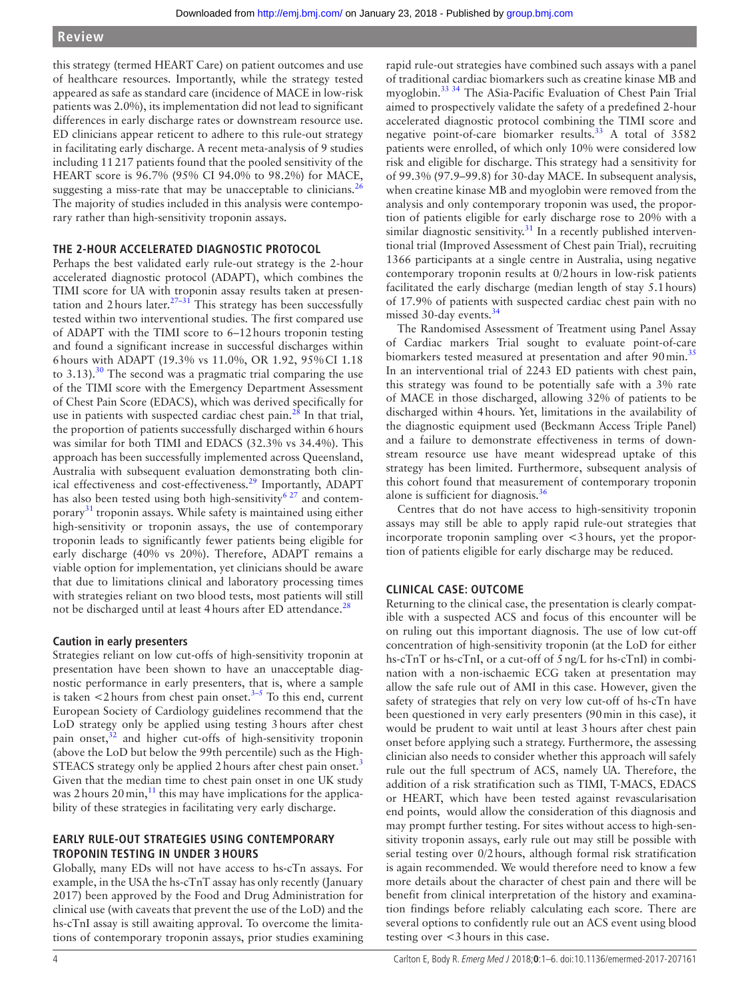this strategy (termed HEART Care) on patient outcomes and use of healthcare resources. Importantly, while the strategy tested appeared as safe as standard care (incidence of MACE in low-risk patients was 2.0%), its implementation did not lead to significant differences in early discharge rates or downstream resource use. ED clinicians appear reticent to adhere to this rule-out strategy in facilitating early discharge. A recent meta-analysis of 9 studies including 11217 patients found that the pooled sensitivity of the HEART score is 96.7% (95% CI 94.0% to 98.2%) for MACE, suggesting a miss-rate that may be unacceptable to clinicians. $^{26}$  $^{26}$  $^{26}$ The majority of studies included in this analysis were contemporary rather than high-sensitivity troponin assays.

# **THE 2-HOUR ACCELERATED DIAGNOSTIC PROTOCOL**

Perhaps the best validated early rule-out strategy is the 2-hour accelerated diagnostic protocol (ADAPT), which combines the TIMI score for UA with troponin assay results taken at presentation and 2 hours later.<sup>27-31</sup> This strategy has been successfully tested within two interventional studies. The first compared use of ADAPT with the TIMI score to 6–12hours troponin testing and found a significant increase in successful discharges within 6hours with ADAPT (19.3% vs 11.0%, OR 1.92, 95%CI 1.18 to 3.13). $30$  The second was a pragmatic trial comparing the use of the TIMI score with the Emergency Department Assessment of Chest Pain Score (EDACS), which was derived specifically for use in patients with suspected cardiac chest pain. $^{28}$  In that trial, the proportion of patients successfully discharged within 6hours was similar for both TIMI and EDACS (32.3% vs 34.4%). This approach has been successfully implemented across Queensland, Australia with subsequent evaluation demonstrating both clinical effectiveness and cost-effectiveness.[29](#page-5-10) Importantly, ADAPT has also been tested using both high-sensitivity<sup>6 27</sup> and contemporary[31](#page-5-11) troponin assays. While safety is maintained using either high-sensitivity or troponin assays, the use of contemporary troponin leads to significantly fewer patients being eligible for early discharge (40% vs 20%). Therefore, ADAPT remains a viable option for implementation, yet clinicians should be aware that due to limitations clinical and laboratory processing times with strategies reliant on two blood tests, most patients will still not be discharged until at least 4 hours after ED attendance.<sup>28</sup>

# **Caution in early presenters**

Strategies reliant on low cut-offs of high-sensitivity troponin at presentation have been shown to have an unacceptable diagnostic performance in early presenters, that is, where a sample is taken  $\lt$ 2 hours from chest pain onset.<sup>3–5</sup> To this end, current European Society of Cardiology guidelines recommend that the LoD strategy only be applied using testing 3hours after chest pain onset,<sup>32</sup> and higher cut-offs of high-sensitivity troponin (above the LoD but below the 99th percentile) such as the High-STEACS strategy only be applied 2 hours after chest pain onset.<sup>[3](#page-4-12)</sup> Given that the median time to chest pain onset in one UK study was 2 hours  $20 \text{ min}$ ,<sup>11</sup> this may have implications for the applicability of these strategies in facilitating very early discharge.

# **EARLY RULE-OUT STRATEGIES USING CONTEMPORARY troponin testing in under 3 hours**

Globally, many EDs will not have access to hs-cTn assays. For example, in the USA the hs-cTnT assay has only recently (January 2017) been approved by the Food and Drug Administration for clinical use (with caveats that prevent the use of the LoD) and the hs-cTnI assay is still awaiting approval. To overcome the limitations of contemporary troponin assays, prior studies examining

rapid rule-out strategies have combined such assays with a panel of traditional cardiac biomarkers such as creatine kinase MB and myoglobin.[33 34](#page-5-12) The ASia-Pacific Evaluation of Chest Pain Trial aimed to prospectively validate the safety of a predefined 2-hour accelerated diagnostic protocol combining the TIMI score and negative point-of-care biomarker results.<sup>[33](#page-5-12)</sup> A total of 3582 patients were enrolled, of which only 10% were considered low risk and eligible for discharge. This strategy had a sensitivity for of 99.3% (97.9–99.8) for 30-day MACE. In subsequent analysis, when creatine kinase MB and myoglobin were removed from the analysis and only contemporary troponin was used, the proportion of patients eligible for early discharge rose to 20% with a similar diagnostic sensitivity. $31$  In a recently published interventional trial (Improved Assessment of Chest pain Trial), recruiting 1366 participants at a single centre in Australia, using negative contemporary troponin results at 0/2hours in low-risk patients facilitated the early discharge (median length of stay 5.1hours) of 17.9% of patients with suspected cardiac chest pain with no missed 30-day events.<sup>[34](#page-5-13)</sup>

The Randomised Assessment of Treatment using Panel Assay of Cardiac markers Trial sought to evaluate point-of-care biomarkers tested measured at presentation and after 90 min.<sup>[35](#page-5-14)</sup> In an interventional trial of 2243 ED patients with chest pain, this strategy was found to be potentially safe with a 3% rate of MACE in those discharged, allowing 32% of patients to be discharged within 4hours. Yet, limitations in the availability of the diagnostic equipment used (Beckmann Access Triple Panel) and a failure to demonstrate effectiveness in terms of downstream resource use have meant widespread uptake of this strategy has been limited. Furthermore, subsequent analysis of this cohort found that measurement of contemporary troponin alone is sufficient for diagnosis. $36$ 

Centres that do not have access to high-sensitivity troponin assays may still be able to apply rapid rule-out strategies that incorporate troponin sampling over <3hours, yet the proportion of patients eligible for early discharge may be reduced.

# **Clinical case: outcome**

Returning to the clinical case, the presentation is clearly compatible with a suspected ACS and focus of this encounter will be on ruling out this important diagnosis. The use of low cut-off concentration of high-sensitivity troponin (at the LoD for either hs-cTnT or hs-cTnI, or a cut-off of 5ng/L for hs-cTnI) in combination with a non-ischaemic ECG taken at presentation may allow the safe rule out of AMI in this case. However, given the safety of strategies that rely on very low cut-off of hs-cTn have been questioned in very early presenters (90min in this case), it would be prudent to wait until at least 3hours after chest pain onset before applying such a strategy. Furthermore, the assessing clinician also needs to consider whether this approach will safely rule out the full spectrum of ACS, namely UA. Therefore, the addition of a risk stratification such as TIMI, T-MACS, EDACS or HEART, which have been tested against revascularisation end points, would allow the consideration of this diagnosis and may prompt further testing. For sites without access to high-sensitivity troponin assays, early rule out may still be possible with serial testing over 0/2hours, although formal risk stratification is again recommended. We would therefore need to know a few more details about the character of chest pain and there will be benefit from clinical interpretation of the history and examination findings before reliably calculating each score. There are several options to confidently rule out an ACS event using blood testing over <3hours in this case.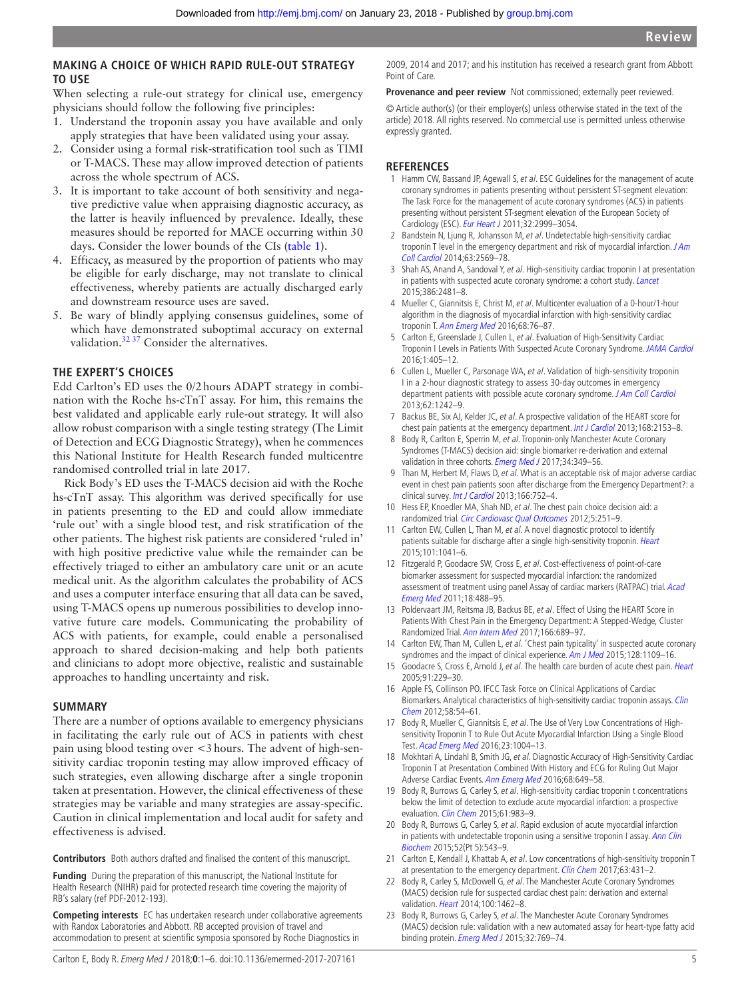# **MAKING A CHOICE OF WHICH RAPID RULE-OUT STRATEGY to use**

When selecting a rule-out strategy for clinical use, emergency physicians should follow the following five principles:

- 1. Understand the troponin assay you have available and only apply strategies that have been validated using your assay.
- 2. Consider using a formal risk-stratification tool such as TIMI or T-MACS. These may allow improved detection of patients across the whole spectrum of ACS.
- 3. It is important to take account of both sensitivity and negative predictive value when appraising diagnostic accuracy, as the latter is heavily influenced by prevalence. Ideally, these measures should be reported for MACE occurring within 30 days. Consider the lower bounds of the CIs ([table](#page-2-0) 1).
- 4. Efficacy, as measured by the proportion of patients who may be eligible for early discharge, may not translate to clinical effectiveness, whereby patients are actually discharged early and downstream resource uses are saved.
- 5. Be wary of blindly applying consensus guidelines, some of which have demonstrated suboptimal accuracy on external validation.<sup>32 37</sup> Consider the alternatives.

#### **The expert's choices**

Edd Carlton's ED uses the 0/2hours ADAPT strategy in combination with the Roche hs-cTnT assay. For him, this remains the best validated and applicable early rule-out strategy. It will also allow robust comparison with a single testing strategy (The Limit of Detection and ECG Diagnostic Strategy), when he commences this National Institute for Health Research funded multicentre randomised controlled trial in late 2017.

Rick Body's ED uses the T-MACS decision aid with the Roche hs-cTnT assay. This algorithm was derived specifically for use in patients presenting to the ED and could allow immediate 'rule out' with a single blood test, and risk stratification of the other patients. The highest risk patients are considered 'ruled in' with high positive predictive value while the remainder can be effectively triaged to either an ambulatory care unit or an acute medical unit. As the algorithm calculates the probability of ACS and uses a computer interface ensuring that all data can be saved, using T-MACS opens up numerous possibilities to develop innovative future care models. Communicating the probability of ACS with patients, for example, could enable a personalised approach to shared decision-making and help both patients and clinicians to adopt more objective, realistic and sustainable approaches to handling uncertainty and risk.

#### **Summary**

There are a number of options available to emergency physicians in facilitating the early rule out of ACS in patients with chest pain using blood testing over <3hours. The advent of high-sensitivity cardiac troponin testing may allow improved efficacy of such strategies, even allowing discharge after a single troponin taken at presentation. However, the clinical effectiveness of these strategies may be variable and many strategies are assay-specific. Caution in clinical implementation and local audit for safety and effectiveness is advised.

**Contributors** Both authors drafted and finalised the content of this manuscript.

**Funding** During the preparation of this manuscript, the National Institute for Health Research (NIHR) paid for protected research time covering the majority of RB's salary (ref PDF-2012-193).

**Competing interests** EC has undertaken research under collaborative agreements with Randox Laboratories and Abbott. RB accepted provision of travel and accommodation to present at scientific symposia sponsored by Roche Diagnostics in

2009, 2014 and 2017; and his institution has received a research grant from Abbott Point of Care.

**Provenance and peer review** Not commissioned; externally peer reviewed.

© Article author(s) (or their employer(s) unless otherwise stated in the text of the article) 2018. All rights reserved. No commercial use is permitted unless otherwise expressly granted.

#### **References**

- <span id="page-4-0"></span>1 Hamm CW, Bassand JP, Agewall S, et al. ESC Guidelines for the management of acute coronary syndromes in patients presenting without persistent ST-segment elevation: The Task Force for the management of acute coronary syndromes (ACS) in patients presenting without persistent ST-segment elevation of the European Society of Cardiology (ESC). [Eur Heart J](http://dx.doi.org/10.1093/eurheartj/ehr236) 2011;32:2999–3054.
- <span id="page-4-1"></span>2 Bandstein N, Ljung R, Johansson M, et al. Undetectable high-sensitivity cardiac troponin T level in the emergency department and risk of myocardial infarction. JAm [Coll Cardiol](http://dx.doi.org/10.1016/j.jacc.2014.03.017) 2014;63:2569–78.
- <span id="page-4-12"></span>3 Shah AS, Anand A, Sandoval Y, et al. High-sensitivity cardiac troponin I at presentation in patients with suspected acute coronary syndrome: a cohort study. [Lancet](http://dx.doi.org/10.1016/S0140-6736(15)00391-8) 2015;386:2481–8.
- <span id="page-4-21"></span>4 Mueller C, Giannitsis E, Christ M, et al. Multicenter evaluation of a 0-hour/1-hour algorithm in the diagnosis of myocardial infarction with high-sensitivity cardiac troponin T. [Ann Emerg Med](http://dx.doi.org/10.1016/j.annemergmed.2015.11.013) 2016;68:76–87.
- <span id="page-4-13"></span>5 Carlton E, Greenslade J, Cullen L, et al. Evaluation of High-Sensitivity Cardiac Troponin I Levels in Patients With Suspected Acute Coronary Syndrome. [JAMA Cardiol](http://dx.doi.org/10.1001/jamacardio.2016.1309) 2016;1:405–12.
- <span id="page-4-2"></span>6 Cullen L, Mueller C, Parsonage WA, et al. Validation of high-sensitivity troponin I in a 2-hour diagnostic strategy to assess 30-day outcomes in emergency department patients with possible acute coronary syndrome. [J Am Coll Cardiol](http://dx.doi.org/10.1016/j.jacc.2013.02.078) 2013;62:1242–9.
- 7 Backus BE, Six AJ, Kelder JC, et al. A prospective validation of the HEART score for chest pain patients at the emergency department. [Int J Cardiol](http://dx.doi.org/10.1016/j.ijcard.2013.01.255) 2013;168:2153-8.
- <span id="page-4-3"></span>8 Body R, Carlton E, Sperrin M, et al. Troponin-only Manchester Acute Coronary Syndromes (T-MACS) decision aid: single biomarker re-derivation and external validation in three cohorts. [Emerg Med J](http://dx.doi.org/10.1136/emermed-2016-205983) 2017;34:349-56.
- <span id="page-4-4"></span>9 Than M, Herbert M, Flaws D, et al. What is an acceptable risk of major adverse cardiac event in chest pain patients soon after discharge from the Emergency Department?: a clinical survey. [Int J Cardiol](http://dx.doi.org/10.1016/j.ijcard.2012.09.171) 2013;166:752-4.
- <span id="page-4-5"></span>10 Hess EP, Knoedler MA, Shah ND, et al. The chest pain choice decision aid: a randomized trial. [Circ Cardiovasc Qual Outcomes](http://dx.doi.org/10.1161/CIRCOUTCOMES.111.964791) 2012;5:251–9.
- <span id="page-4-6"></span>11 Carlton EW, Cullen L, Than M, et al. A novel diagnostic protocol to identify patients suitable for discharge after a single high-sensitivity troponin. [Heart](http://dx.doi.org/10.1136/heartjnl-2014-307288) 2015;101:1041–6.
- <span id="page-4-7"></span>12 Fitzgerald P, Goodacre SW, Cross E, et al. Cost-effectiveness of point-of-care biomarker assessment for suspected myocardial infarction: the randomized assessment of treatment using panel Assay of cardiac markers (RATPAC) trial. Acad [Emerg Med](http://dx.doi.org/10.1111/j.1553-2712.2011.01068.x) 2011;18:488–95.
- <span id="page-4-17"></span>13 Poldervaart JM, Reitsma JB, Backus BE, et al. Effect of Using the HEART Score in Patients With Chest Pain in the Emergency Department: A Stepped-Wedge, Cluster Randomized Trial. [Ann Intern Med](http://dx.doi.org/10.7326/M16-1600) 2017;166:689–97.
- <span id="page-4-8"></span>14 Carlton EW, Than M, Cullen L, et al. 'Chest pain typicality' in suspected acute coronary syndromes and the impact of clinical experience. [Am J Med](http://dx.doi.org/10.1016/j.amjmed.2015.04.012) 2015;128:1109-16.
- <span id="page-4-9"></span>15 Goodacre S, Cross E, Arnold J, et al. The health care burden of acute chest pain. [Heart](http://dx.doi.org/10.1136/hrt.2003.027599) 2005;91:229–30.
- <span id="page-4-10"></span>16 Apple FS, Collinson PO. IFCC Task Force on Clinical Applications of Cardiac Biomarkers. Analytical characteristics of high-sensitivity cardiac troponin assays. Clin [Chem](http://dx.doi.org/10.1373/clinchem.2011.165795) 2012;58:54–61.
- <span id="page-4-18"></span>17 Body R, Mueller C, Giannitsis E, et al. The Use of Very Low Concentrations of Highsensitivity Troponin T to Rule Out Acute Myocardial Infarction Using a Single Blood Test. [Acad Emerg Med](http://dx.doi.org/10.1111/acem.13012) 2016;23:1004–13.
- <span id="page-4-19"></span>18 Mokhtari A, Lindahl B, Smith JG, et al. Diagnostic Accuracy of High-Sensitivity Cardiac Troponin T at Presentation Combined With History and ECG for Ruling Out Major Adverse Cardiac Events. [Ann Emerg Med](http://dx.doi.org/10.1016/j.annemergmed.2016.06.008) 2016;68:649–58.
- <span id="page-4-20"></span>19 Body R, Burrows G, Carley S, et al. High-sensitivity cardiac troponin t concentrations below the limit of detection to exclude acute myocardial infarction: a prospective evaluation. [Clin Chem](http://dx.doi.org/10.1373/clinchem.2014.231530) 2015:61:983-9.
- <span id="page-4-11"></span>20 Body R, Burrows G, Carley S, et al. Rapid exclusion of acute myocardial infarction in patients with undetectable troponin using a sensitive troponin I assay. Ann Clin [Biochem](http://dx.doi.org/10.1177/0004563215576976) 2015;52(Pt 5):543–9.
- <span id="page-4-14"></span>21 Carlton E, Kendall J, Khattab A, et al. Low concentrations of high-sensitivity troponin T at presentation to the emergency department. [Clin Chem](http://dx.doi.org/10.1373/clinchem.2016.262139) 2017;63:431-2.
- <span id="page-4-15"></span>22 Body R, Carley S, McDowell G, et al. The Manchester Acute Coronary Syndromes (MACS) decision rule for suspected cardiac chest pain: derivation and external validation. [Heart](http://dx.doi.org/10.1136/heartjnl-2014-305564) 2014;100:1462–8.
- <span id="page-4-16"></span>23 Body R, Burrows G, Carley S, et al. The Manchester Acute Coronary Syndromes (MACS) decision rule: validation with a new automated assay for heart-type fatty acid binding protein. [Emerg Med J](http://dx.doi.org/10.1136/emermed-2014-204235) 2015;32:769-74.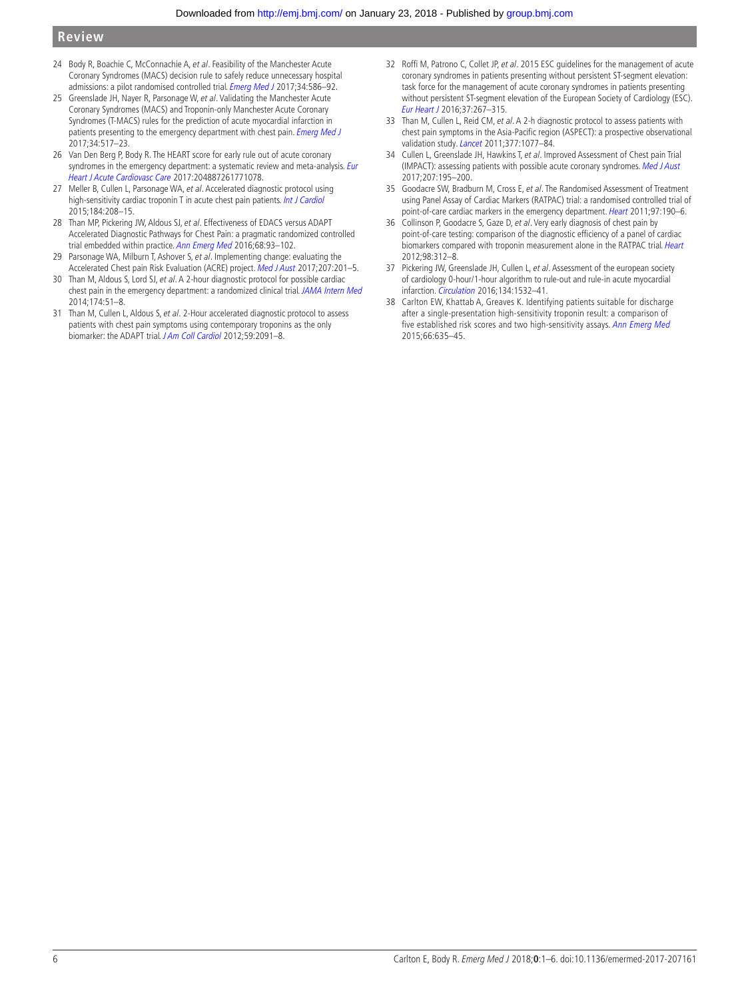- <span id="page-5-0"></span>24 Body R, Boachie C, McConnachie A, et al. Feasibility of the Manchester Acute Coronary Syndromes (MACS) decision rule to safely reduce unnecessary hospital admissions: a pilot randomised controlled trial. *[Emerg Med J](http://dx.doi.org/10.1136/emermed-2016-206148)* 2017;34:586-92.
- <span id="page-5-1"></span>25 Greenslade JH, Nayer R, Parsonage W, et al. Validating the Manchester Acute Coronary Syndromes (MACS) and Troponin-only Manchester Acute Coronary Syndromes (T-MACS) rules for the prediction of acute myocardial infarction in patients presenting to the emergency department with chest pain. [Emerg Med J](http://dx.doi.org/10.1136/emermed-2016-206366) 2017;34:517–23.
- <span id="page-5-3"></span>26 Van Den Berg P, Body R. The HEART score for early rule out of acute coronary syndromes in the emergency department: a systematic review and meta-analysis. Eur [Heart J Acute Cardiovasc Care](http://dx.doi.org/10.1177/2048872617710788) 2017:204887261771078.
- <span id="page-5-5"></span>27 Meller B, Cullen L, Parsonage WA, et al. Accelerated diagnostic protocol using high-sensitivity cardiac troponin T in acute chest pain patients. [Int J Cardiol](http://dx.doi.org/10.1016/j.ijcard.2015.02.006) 2015;184:208–15.
- <span id="page-5-6"></span>28 Than MP, Pickering JW, Aldous SJ, et al. Effectiveness of EDACS versus ADAPT Accelerated Diagnostic Pathways for Chest Pain: a pragmatic randomized controlled trial embedded within practice. [Ann Emerg Med](http://dx.doi.org/10.1016/j.annemergmed.2016.01.001) 2016;68:93-102.
- <span id="page-5-10"></span>29 Parsonage WA, Milburn T, Ashover S, et al. Implementing change: evaluating the Accelerated Chest pain Risk Evaluation (ACRE) project. [Med J Aust](http://dx.doi.org/10.5694/mja16.01479) 2017;207:201-5.
- <span id="page-5-9"></span>30 Than M, Aldous S, Lord SJ, et al. A 2-hour diagnostic protocol for possible cardiac chest pain in the emergency department: a randomized clinical trial. [JAMA Intern Med](http://dx.doi.org/10.1001/jamainternmed.2013.11362) 2014;174:51–8.
- <span id="page-5-11"></span>31 Than M, Cullen L, Aldous S, et al. 2-Hour accelerated diagnostic protocol to assess patients with chest pain symptoms using contemporary troponins as the only biomarker: the ADAPT trial. [J Am Coll Cardiol](http://dx.doi.org/10.1016/j.jacc.2012.02.035) 2012;59:2091–8.
- <span id="page-5-4"></span>32 Roffi M, Patrono C, Collet JP, et al. 2015 ESC guidelines for the management of acute coronary syndromes in patients presenting without persistent ST-segment elevation: task force for the management of acute coronary syndromes in patients presenting without persistent ST-segment elevation of the European Society of Cardiology (ESC). [Eur Heart J](http://dx.doi.org/10.1093/eurheartj/ehv320) 2016;37:267–315.
- <span id="page-5-12"></span>33 Than M, Cullen L, Reid CM, et al. A 2-h diagnostic protocol to assess patients with chest pain symptoms in the Asia-Pacific region (ASPECT): a prospective observational validation study. [Lancet](http://dx.doi.org/10.1016/S0140-6736(11)60310-3) 2011;377:1077-84.
- <span id="page-5-13"></span>34 Cullen L, Greenslade JH, Hawkins T, et al. Improved Assessment of Chest pain Trial (IMPACT): assessing patients with possible acute coronary syndromes. [Med J Aust](http://dx.doi.org/10.5694/mja16.01351) 2017;207:195–200.
- <span id="page-5-14"></span>35 Goodacre SW, Bradburn M, Cross E, et al. The Randomised Assessment of Treatment using Panel Assay of Cardiac Markers (RATPAC) trial: a randomised controlled trial of point-of-care cardiac markers in the emergency department. [Heart](http://dx.doi.org/10.1136/hrt.2010.203166) 2011;97:190-6.
- <span id="page-5-7"></span>36 Collinson P, Goodacre S, Gaze D, et al. Very early diagnosis of chest pain by point-of-care testing: comparison of the diagnostic efficiency of a panel of cardiac biomarkers compared with troponin measurement alone in the RATPAC trial. [Heart](http://dx.doi.org/10.1136/heartjnl-2011-300723) 2012;98:312–8.
- <span id="page-5-8"></span>37 Pickering JW, Greenslade JH, Cullen L, et al. Assessment of the european society of cardiology 0-hour/1-hour algorithm to rule-out and rule-in acute myocardial infarction. [Circulation](http://dx.doi.org/10.1161/CIRCULATIONAHA.116.022677) 2016;134:1532–41.
- <span id="page-5-2"></span>38 Carlton EW, Khattab A, Greaves K. Identifying patients suitable for discharge after a single-presentation high-sensitivity troponin result: a comparison of five established risk scores and two high-sensitivity assays. [Ann Emerg Med](http://dx.doi.org/10.1016/j.annemergmed.2015.07.006) 2015;66:635–45.